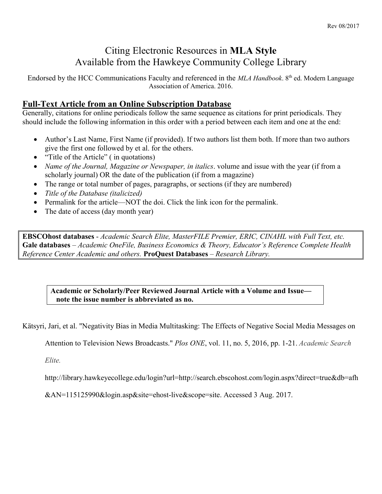# Citing Electronic Resources in **MLA Style** Available from the Hawkeye Community College Library

Endorsed by the HCC Communications Faculty and referenced in the *MLA Handbook*. 8 th ed. Modern Language Association of America. 2016.

# **Full-Text Article from an Online Subscription Database**

Generally, citations for online periodicals follow the same sequence as citations for print periodicals. They should include the following information in this order with a period between each item and one at the end:

- Author's Last Name, First Name (if provided). If two authors list them both. If more than two authors give the first one followed by et al. for the others.
- "Title of the Article" (in quotations)
- *Name of the Journal, Magazine or Newspaper, in italics*. volume and issue with the year (if from a scholarly journal) OR the date of the publication (if from a magazine)
- The range or total number of pages, paragraphs, or sections (if they are numbered)
- *Title of the Database (italicized)*
- Permalink for the article—NOT the doi. Click the link icon for the permalink.
- The date of access (day month year)

**EBSCOhost databases** - *Academic Search Elite, MasterFILE Premier, ERIC, CINAHL with Full Text, etc.*  **Gale databases** *– Academic OneFile, Business Economics & Theory, Educator's Reference Complete Health Reference Center Academic and others.* **ProQuest Databases** *– Research Library.*

**Academic or Scholarly/Peer Reviewed Journal Article with a Volume and Issue note the issue number is abbreviated as no.**

Kätsyri, Jari, et al. "Negativity Bias in Media Multitasking: The Effects of Negative Social Media Messages on

Attention to Television News Broadcasts." *Plos ONE*, vol. 11, no. 5, 2016, pp. 1-21. *Academic Search* 

*Elite.*

http://library.hawkeyecollege.edu/login?url=http://search.ebscohost.com/login.aspx?direct=true&db=afh

&AN=115125990&login.asp&site=ehost-live&scope=site. Accessed 3 Aug. 2017.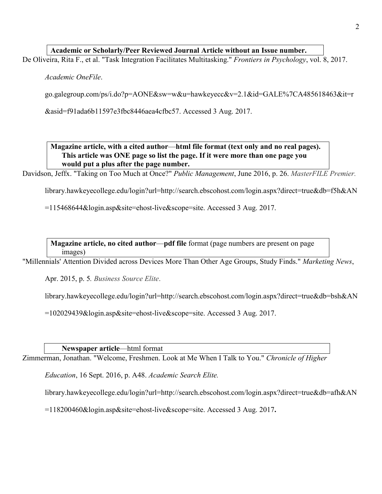### **Academic or Scholarly/Peer Reviewed Journal Article without an Issue number.**

De Oliveira, Rita F., et al. "Task Integration Facilitates Multitasking." *Frontiers in Psychology*, vol. 8, 2017.

*Academic OneFile*.

go.galegroup.com/ps/i.do?p=AONE&sw=w&u=hawkeyecc&v=2.1&id=GALE%7CA485618463&it=r

&asid=f91ada6b11597e3fbc8446aea4cfbc57. Accessed 3 Aug. 2017.

**Magazine article, with a cited author**—**html file format (text only and no real pages). This article was ONE page so list the page. If it were more than one page you would put a plus after the page number.**

Davidson, Jeffx. "Taking on Too Much at Once?" *Public Management*, June 2016, p. 26. *MasterFILE Premier.*

library.hawkeyecollege.edu/login?url=http://search.ebscohost.com/login.aspx?direct=true&db=f5h&AN

=115468644&login.asp&site=ehost-live&scope=site. Accessed 3 Aug. 2017.

**Magazine article, no cited author**—**pdf file** format (page numbers are present on page images)

"Millennials' Attention Divided across Devices More Than Other Age Groups, Study Finds." *Marketing News*,

Apr. 2015, p. 5*. Business Source Elite*.

library.hawkeyecollege.edu/login?url=http://search.ebscohost.com/login.aspx?direct=true&db=bsh&AN

=102029439&login.asp&site=ehost-live&scope=site. Accessed 3 Aug. 2017.

**Newspaper article**—html format

Zimmerman, Jonathan. "Welcome, Freshmen. Look at Me When I Talk to You." *Chronicle of Higher* 

*Education*, 16 Sept. 2016, p. A48. *Academic Search Elite.*

library.hawkeyecollege.edu/login?url=http://search.ebscohost.com/login.aspx?direct=true&db=afh&AN

=118200460&login.asp&site=ehost-live&scope=site. Accessed 3 Aug. 2017**.**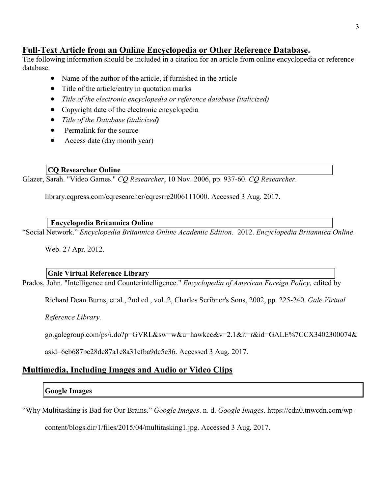# **Full-Text Article from an Online Encyclopedia or Other Reference Database.**

The following information should be included in a citation for an article from online encyclopedia or reference database.

- Name of the author of the article, if furnished in the article
- Title of the article/entry in quotation marks
- *Title of the electronic encyclopedia or reference database (italicized)*
- Copyright date of the electronic encyclopedia
- *Title of the Database (italicized)*
- Permalink for the source
- Access date (day month year)

#### **CQ Researcher Online**

Glazer, Sarah. "Video Games." *CQ Researcher*, 10 Nov. 2006, pp. 937-60. *CQ Researcher*.

library.cqpress.com/cqresearcher/cqresrre2006111000. Accessed 3 Aug. 2017.

#### **Encyclopedia Britannica Online**

"Social Network." *Encyclopedia Britannica Online Academic Edition.* 2012. *Encyclopedia Britannica Online*.

Web. 27 Apr. 2012.

#### **Gale Virtual Reference Library**

Prados, John. "Intelligence and Counterintelligence." *Encyclopedia of American Foreign Policy*, edited by

Richard Dean Burns, et al., 2nd ed., vol. 2, Charles Scribner's Sons, 2002, pp. 225-240. *Gale Virtual* 

*Reference Library.*

go.galegroup.com/ps/i.do?p=GVRL&sw=w&u=hawkcc&v=2.1&it=r&id=GALE%7CCX3402300074&

asid=6eb687bc28de87a1e8a31efba9dc5c36. Accessed 3 Aug. 2017.

# **Multimedia, Including Images and Audio or Video Clips**

# **Google Images**

"Why Multitasking is Bad for Our Brains." *Google Images*. n. d. *Google Images*. https://cdn0.tnwcdn.com/wp-

content/blogs.dir/1/files/2015/04/multitasking1.jpg. Accessed 3 Aug. 2017.